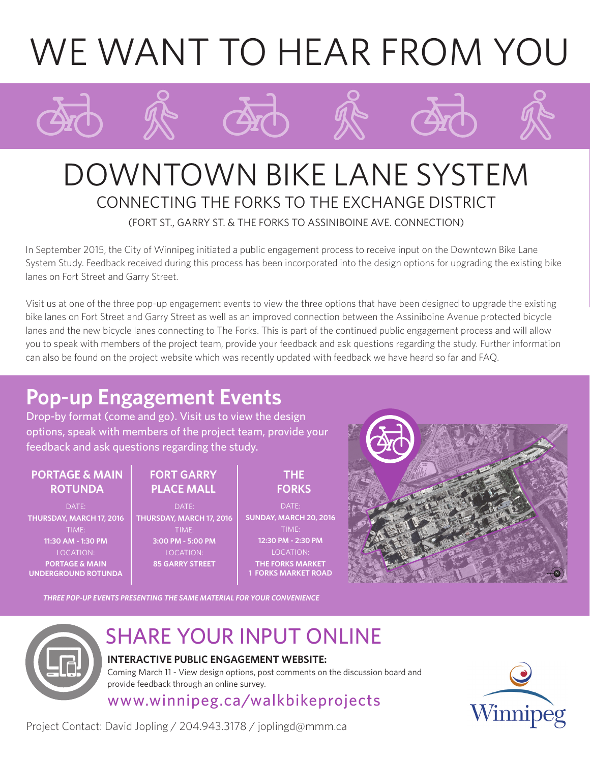# WE WANT TO HEAR FROM YOU

# DOWNTOWN BIKE LANE SYSTEM CONNECTING THE FORKS TO THE EXCHANGE DISTRICT (FORT ST., GARRY ST. & THE FORKS TO ASSINIBOINE AVE. CONNECTION)

In September 2015, the City of Winnipeg initiated a public engagement process to receive input on the Downtown Bike Lane System Study. Feedback received during this process has been incorporated into the design options for upgrading the existing bike lanes on Fort Street and Garry Street.

Visit us at one of the three pop-up engagement events to view the three options that have been designed to upgrade the existing bike lanes on Fort Street and Garry Street as well as an improved connection between the Assiniboine Avenue protected bicycle lanes and the new bicycle lanes connecting to The Forks. This is part of the continued public engagement process and will allow you to speak with members of the project team, provide your feedback and ask questions regarding the study. Further information can also be found on the project website which was recently updated with feedback we have heard so far and FAQ.

# **Pop-up Engagement Events**

Drop-by format (come and go). Visit us to view the design options, speak with members of the project team, provide your feedback and ask questions regarding the study.

### **PORTAGE & MAIN ROTUNDA**

DATE: **THURSDAY, MARCH 17, 2016** TIME: **11:30 AM - 1:30 PM** LOCATION: **PORTAGE & MAIN UNDERGROUND ROTUNDA**

## **FORT GARRY PLACE MALL**

DATE: **THURSDAY, MARCH 17, 2016** TIME: **3:00 PM - 5:00 PM** LOCATION: **85 GARRY STREET**

## **THE FORKS**

DATE: **SUNDAY, MARCH 20, 2016** TIME: **12:30 PM - 2:30 PM** LOCATION: **THE FORKS MARKET 1 FORKS MARKET ROAD**



*THREE POP-UP EVENTS PRESENTING THE SAME MATERIAL FOR YOUR CONVENIENCE*



# SHARE YOUR INPUT ONLINE

## **INTERACTIVE PUBLIC ENGAGEMENT WEBSITE:**

Coming March 11 - View design options, post comments on the discussion board and provide feedback through an online survey.

## www.winnipeg.ca/walkbikeprojects



Project Contact: David Jopling / 204.943.3178 / joplingd@mmm.ca